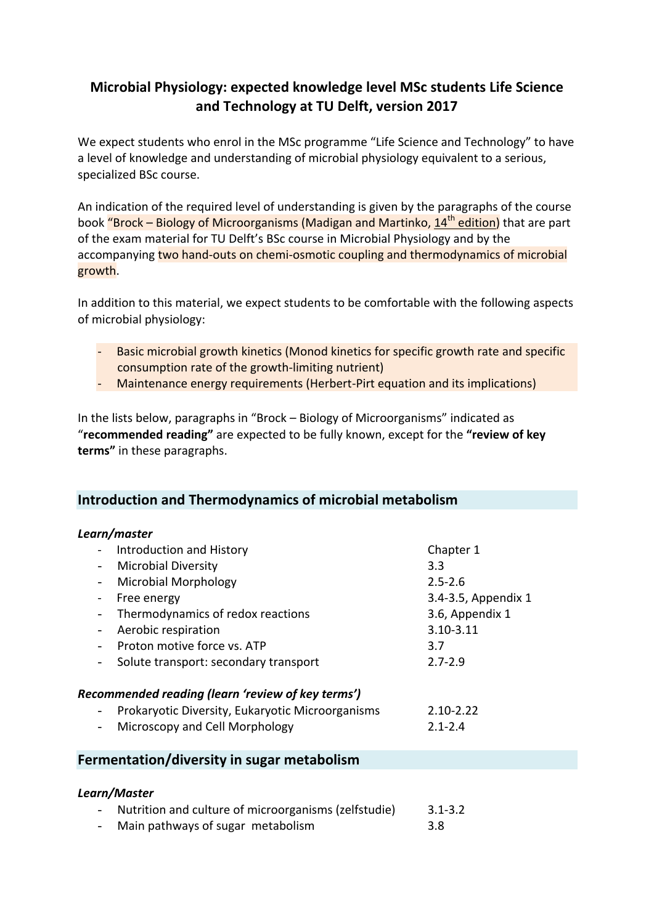## **Microbial Physiology: expected knowledge level MSc students Life Science and Technology at TU Delft, version 2017**

We expect students who enrol in the MSc programme "Life Science and Technology" to have a level of knowledge and understanding of microbial physiology equivalent to a serious, specialized BSc course.

An indication of the required level of understanding is given by the paragraphs of the course book "Brock – Biology of Microorganisms (Madigan and Martinko, 14<sup>th</sup> edition) that are part of the exam material for TU Delft's BSc course in Microbial Physiology and by the accompanying two hand-outs on chemi-osmotic coupling and thermodynamics of microbial growth.

In addition to this material, we expect students to be comfortable with the following aspects of microbial physiology:

- Basic microbial growth kinetics (Monod kinetics for specific growth rate and specific consumption rate of the growth-limiting nutrient)
- Maintenance energy requirements (Herbert-Pirt equation and its implications)

In the lists below, paragraphs in "Brock – Biology of Microorganisms" indicated as "**recommended reading"** are expected to be fully known, except for the **"review of key terms"** in these paragraphs.

## **Introduction and Thermodynamics of microbial metabolism**

## *Learn/master*

|                                            | Introduction and History                          | Chapter 1           |  |  |
|--------------------------------------------|---------------------------------------------------|---------------------|--|--|
| $\overline{\phantom{a}}$                   | <b>Microbial Diversity</b>                        | 3.3                 |  |  |
| $\qquad \qquad \blacksquare$               | <b>Microbial Morphology</b>                       | $2.5 - 2.6$         |  |  |
| $\qquad \qquad \blacksquare$               | Free energy                                       | 3.4-3.5, Appendix 1 |  |  |
|                                            | Thermodynamics of redox reactions                 | 3.6, Appendix 1     |  |  |
| $\qquad \qquad \blacksquare$               | Aerobic respiration                               | 3.10-3.11           |  |  |
|                                            | Proton motive force vs. ATP                       | 3.7                 |  |  |
|                                            | Solute transport: secondary transport             | $2.7 - 2.9$         |  |  |
|                                            | Recommended reading (learn 'review of key terms') |                     |  |  |
|                                            | Prokaryotic Diversity, Eukaryotic Microorganisms  | $2.10 - 2.22$       |  |  |
| $\overline{\phantom{a}}$                   | Microscopy and Cell Morphology                    | $2.1 - 2.4$         |  |  |
| Fermentation/diversity in sugar metabolism |                                                   |                     |  |  |
| Learn/Master                               |                                                   |                     |  |  |
|                                            |                                                   |                     |  |  |

- Nutrition and culture of microorganisms (zelfstudie) 3.1-3.2
- Main pathways of sugar metabolism 3.8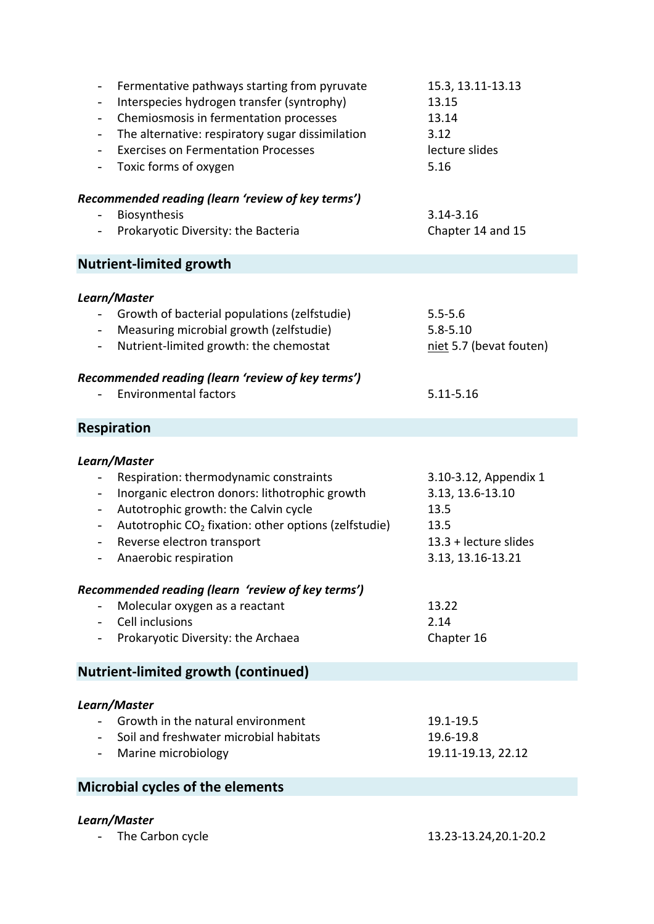| Fermentative pathways starting from pyruvate<br>Interspecies hydrogen transfer (syntrophy)<br>$\overline{\phantom{0}}$<br>Chemiosmosis in fermentation processes<br>$\overline{\phantom{0}}$<br>The alternative: respiratory sugar dissimilation<br>$\overline{\phantom{0}}$<br><b>Exercises on Fermentation Processes</b><br>$\overline{\phantom{0}}$<br>Toxic forms of oxygen                                                      | 15.3, 13.11-13.13<br>13.15<br>13.14<br>3.12<br>lecture slides<br>5.16                                   |  |  |  |
|--------------------------------------------------------------------------------------------------------------------------------------------------------------------------------------------------------------------------------------------------------------------------------------------------------------------------------------------------------------------------------------------------------------------------------------|---------------------------------------------------------------------------------------------------------|--|--|--|
| Recommended reading (learn 'review of key terms')<br>Biosynthesis<br>Prokaryotic Diversity: the Bacteria                                                                                                                                                                                                                                                                                                                             | 3.14-3.16<br>Chapter 14 and 15                                                                          |  |  |  |
| <b>Nutrient-limited growth</b>                                                                                                                                                                                                                                                                                                                                                                                                       |                                                                                                         |  |  |  |
| Learn/Master                                                                                                                                                                                                                                                                                                                                                                                                                         |                                                                                                         |  |  |  |
| Growth of bacterial populations (zelfstudie)<br>Measuring microbial growth (zelfstudie)<br>Nutrient-limited growth: the chemostat<br>$\overline{\phantom{a}}$                                                                                                                                                                                                                                                                        | $5.5 - 5.6$<br>$5.8 - 5.10$<br>niet 5.7 (bevat fouten)                                                  |  |  |  |
| Recommended reading (learn 'review of key terms')<br><b>Environmental factors</b>                                                                                                                                                                                                                                                                                                                                                    | 5.11-5.16                                                                                               |  |  |  |
| <b>Respiration</b>                                                                                                                                                                                                                                                                                                                                                                                                                   |                                                                                                         |  |  |  |
| Learn/Master<br>Respiration: thermodynamic constraints<br>Inorganic electron donors: lithotrophic growth<br>-<br>Autotrophic growth: the Calvin cycle<br>$\overline{\phantom{0}}$<br>Autotrophic CO <sub>2</sub> fixation: other options (zelfstudie)<br>$\blacksquare$<br>Reverse electron transport<br>$\qquad \qquad -$<br>Anaerobic respiration<br>$\overline{\phantom{a}}$<br>Recommended reading (learn 'review of key terms') | 3.10-3.12, Appendix 1<br>3.13, 13.6-13.10<br>13.5<br>13.5<br>13.3 + lecture slides<br>3.13, 13.16-13.21 |  |  |  |
| Molecular oxygen as a reactant<br>Cell inclusions<br>Prokaryotic Diversity: the Archaea                                                                                                                                                                                                                                                                                                                                              | 13.22<br>2.14<br>Chapter 16                                                                             |  |  |  |
| <b>Nutrient-limited growth (continued)</b>                                                                                                                                                                                                                                                                                                                                                                                           |                                                                                                         |  |  |  |
| Learn/Master<br>Growth in the natural environment<br>Soil and freshwater microbial habitats<br>Marine microbiology                                                                                                                                                                                                                                                                                                                   | 19.1-19.5<br>19.6-19.8<br>19.11-19.13, 22.12                                                            |  |  |  |
| <b>Microbial cycles of the elements</b>                                                                                                                                                                                                                                                                                                                                                                                              |                                                                                                         |  |  |  |
| Learn/Master                                                                                                                                                                                                                                                                                                                                                                                                                         |                                                                                                         |  |  |  |

- The Carbon cycle 2008 2010 2020 13.23-13.24,20.1-20.2